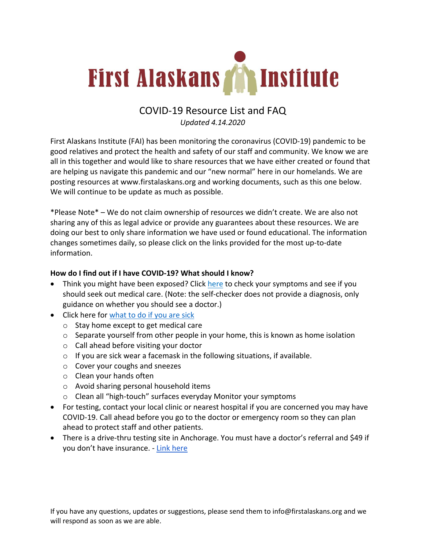

# COVID-19 Resource List and FAQ

*Updated 4.14.2020* 

First Alaskans Institute (FAI) has been monitoring the coronavirus (COVID-19) pandemic to be good relatives and protect the health and safety of our staff and community. We know we are all in this together and would like to share resources that we have either created or found that are helping us navigate this pandemic and our "new normal" here in our homelands. We are posting resources at www.firstalaskans.org and working documents, such as this one below. We will continue to be update as much as possible.

\*Please Note\* – We do not claim ownership of resources we didn't create. We are also not sharing any of this as legal advice or provide any guarantees about these resources. We are doing our best to only share information we have used or found educational. The information changes sometimes daily, so please click on the links provided for the most up-to-date information.

#### **How do I find out if I have COVID-19? What should I know?**

- Think you might have been exposed? Click here to check your symptoms and see if you should seek out medical care. (Note: the self-checker does not provide a diagnosis, only guidance on whether you should see a doctor.)
- Click here for what to do if you are sick
	- o Stay home except to get medical care
	- o Separate yourself from other people in your home, this is known as home isolation
	- o Call ahead before visiting your doctor
	- o If you are sick wear a facemask in the following situations, if available.
	- o Cover your coughs and sneezes
	- o Clean your hands often
	- o Avoid sharing personal household items
	- o Clean all "high-touch" surfaces everyday Monitor your symptoms
- For testing, contact your local clinic or nearest hospital if you are concerned you may have COVID-19. Call ahead before you go to the doctor or emergency room so they can plan ahead to protect staff and other patients.
- There is a drive-thru testing site in Anchorage. You must have a doctor's referral and \$49 if you don't have insurance. - Link here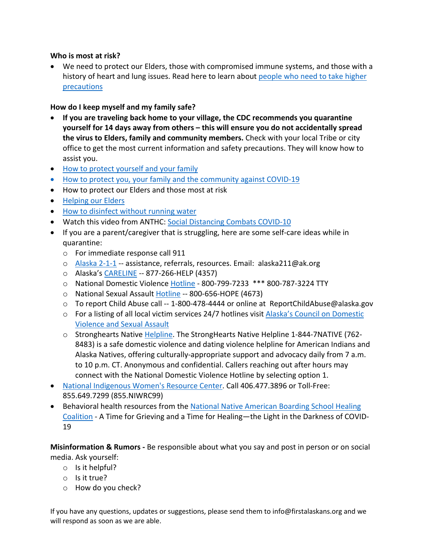#### **Who is most at risk?**

• We need to protect our Elders, those with compromised immune systems, and those with a history of heart and lung issues. Read here to learn about people who need to take higher precautions

## **How do I keep myself and my family safe?**

- **If you are traveling back home to your village, the CDC recommends you quarantine yourself for 14 days away from others – this will ensure you do not accidentally spread the virus to Elders, family and community members.** Check with your local Tribe or city office to get the most current information and safety precautions. They will know how to assist you.
- How to protect yourself and your family
- How to protect you, your family and the community against COVID-19
- How to protect our Elders and those most at risk
- Helping our Elders
- How to disinfect without running water
- Watch this video from ANTHC: Social Distancing Combats COVID-10
- If you are a parent/caregiver that is struggling, here are some self-care ideas while in quarantine:
	- o For immediate response call 911
	- o Alaska 2-1-1 -- assistance, referrals, resources. Email: alaska211@ak.org
	- o Alaska's CARELINE -- 877-266-HELP (4357)
	- o National Domestic Violence Hotline 800-799-7233 \*\*\* 800-787-3224 TTY
	- o National Sexual Assault Hotline -- 800-656-HOPE (4673)
	- $\circ$  To report Child Abuse call -- 1-800-478-4444 or online at ReportChildAbuse@alaska.gov
	- o For a listing of all local victim services 24/7 hotlines visit Alaska's Council on Domestic Violence and Sexual Assault
	- o Stronghearts Native Helpline. The StrongHearts Native Helpline 1-844-7NATIVE (762- 8483) is a safe domestic violence and dating violence helpline for American Indians and Alaska Natives, offering culturally-appropriate support and advocacy daily from 7 a.m. to 10 p.m. CT. Anonymous and confidential. Callers reaching out after hours may connect with the National Domestic Violence Hotline by selecting option 1.
- National Indigenous Women's Resource Center. Call 406.477.3896 or Toll-Free: 855.649.7299 (855.NIWRC99)
- Behavioral health resources from the National Native American Boarding School Healing Coalition - A Time for Grieving and a Time for Healing—the Light in the Darkness of COVID-19

**Misinformation & Rumors -** Be responsible about what you say and post in person or on social media. Ask yourself:

- o Is it helpful?
- o Is it true?
- o How do you check?

If you have any questions, updates or suggestions, please send them to info@firstalaskans.org and we will respond as soon as we are able.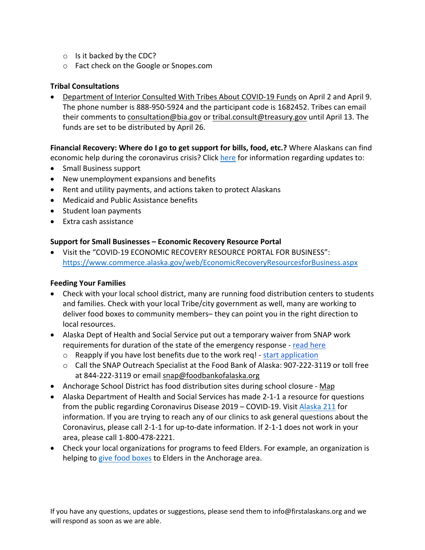- o Is it backed by the CDC?
- o Fact check on the Google or Snopes.com

# **Tribal Consultations**

• Department of Interior Consulted With Tribes About COVID-19 Funds on April 2 and April 9. The phone number is 888-950-5924 and the participant code is 1682452. Tribes can email their comments to consultation@bia.gov or tribal.consult@treasury.gov until April 13. The funds are set to be distributed by April 26.

#### **Financial Recovery: Where do I go to get support for bills, food, etc.?** Where Alaskans can find economic help during the coronavirus crisis? Click here for information regarding updates to:

- Small Business support
- New unemployment expansions and benefits
- Rent and utility payments, and actions taken to protect Alaskans
- Medicaid and Public Assistance benefits
- Student loan payments
- Extra cash assistance

#### **Support for Small Businesses – Economic Recovery Resource Portal**

• Visit the "COVID-19 ECONOMIC RECOVERY RESOURCE PORTAL FOR BUSINESS": https://www.commerce.alaska.gov/web/EconomicRecoveryResourcesforBusiness.aspx

#### **Feeding Your Families**

- Check with your local school district, many are running food distribution centers to students and families. Check with your local Tribe/city government as well, many are working to deliver food boxes to community members– they can point you in the right direction to local resources.
- Alaska Dept of Health and Social Service put out a temporary waiver from SNAP work requirements for duration of the state of the emergency response - read here
	- o Reapply if you have lost benefits due to the work req! start application
	- o Call the SNAP Outreach Specialist at the Food Bank of Alaska: 907-222-3119 or toll free at 844-222-3119 or email snap@foodbankofalaska.org
- Anchorage School District has food distribution sites during school closure Map
- Alaska Department of Health and Social Services has made 2-1-1 a resource for questions from the public regarding Coronavirus Disease 2019 – COVID-19. Visit Alaska 211 for information. If you are trying to reach any of our clinics to ask general questions about the Coronavirus, please call 2-1-1 for up-to-date information. If 2-1-1 does not work in your area, please call 1-800-478-2221.
- Check your local organizations for programs to feed Elders. For example, an organization is helping to give food boxes to Elders in the Anchorage area.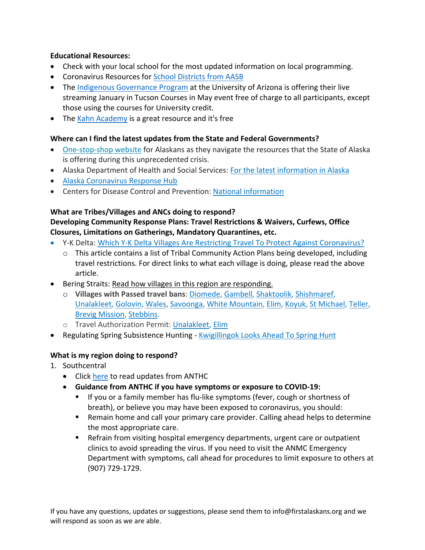## **Educational Resources:**

- Check with your local school for the most updated information on local programming.
- Coronavirus Resources for School Districts from AASB
- The Indigenous Governance Program at the University of Arizona is offering their live streaming January in Tucson Courses in May event free of charge to all participants, except those using the courses for University credit.
- The Kahn Academy is a great resource and it's free

#### **Where can I find the latest updates from the State and Federal Governments?**

- One-stop-shop website for Alaskans as they navigate the resources that the State of Alaska is offering during this unprecedented crisis.
- Alaska Department of Health and Social Services: For the latest information in Alaska
- Alaska Coronavirus Response Hub
- Centers for Disease Control and Prevention: National information

#### **What are Tribes/Villages and ANCs doing to respond?**

#### **Developing Community Response Plans: Travel Restrictions & Waivers, Curfews, Office Closures, Limitations on Gatherings, Mandatory Quarantines, etc.**

- Y-K Delta: Which Y-K Delta Villages Are Restricting Travel To Protect Against Coronavirus?
	- $\circ$  This article contains a list of Tribal Community Action Plans being developed, including travel restrictions. For direct links to what each village is doing, please read the above article.
- Bering Straits: Read how villages in this region are responding.
	- o **Villages with Passed travel bans**: Diomede, Gambell, Shaktoolik, Shishmaref, Unalakleet, Golovin, Wales, Savoonga, White Mountain, Elim, Koyuk, St Michael, Teller, Brevig Mission, Stebbins.
	- o Travel Authorization Permit: Unalakleet, Elim
- Regulating Spring Subsistence Hunting Kwigillingok Looks Ahead To Spring Hunt

#### **What is my region doing to respond?**

- 1. Southcentral
	- Click here to read updates from ANTHC
	- **Guidance from ANTHC if you have symptoms or exposure to COVID-19:**
		- § If you or a family member has flu-like symptoms (fever, cough or shortness of breath), or believe you may have been exposed to coronavirus, you should:
		- Remain home and call your primary care provider. Calling ahead helps to determine the most appropriate care.
		- Refrain from visiting hospital emergency departments, urgent care or outpatient clinics to avoid spreading the virus. If you need to visit the ANMC Emergency Department with symptoms, call ahead for procedures to limit exposure to others at (907) 729-1729.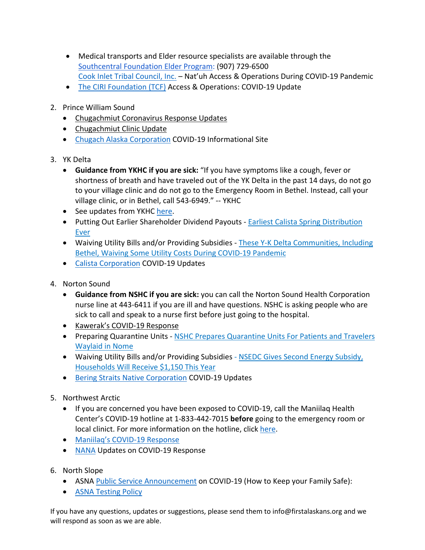- Medical transports and Elder resource specialists are available through the Southcentral Foundation Elder Program: (907) 729-6500 Cook Inlet Tribal Council, Inc. – Nat'uh Access & Operations During COVID-19 Pandemic
- The CIRI Foundation (TCF) Access & Operations: COVID-19 Update
- 2. Prince William Sound
	- Chugachmiut Coronavirus Response Updates
	- Chugachmiut Clinic Update
	- Chugach Alaska Corporation COVID-19 Informational Site
- 3. YK Delta
	- **Guidance from YKHC if you are sick:** "If you have symptoms like a cough, fever or shortness of breath and have traveled out of the YK Delta in the past 14 days, do not go to your village clinic and do not go to the Emergency Room in Bethel. Instead, call your village clinic, or in Bethel, call 543-6949." -- YKHC
	- See updates from YKHC here.
	- Putting Out Earlier Shareholder Dividend Payouts Earliest Calista Spring Distribution Ever
	- Waiving Utility Bills and/or Providing Subsidies These Y-K Delta Communities, Including Bethel, Waiving Some Utility Costs During COVID-19 Pandemic
	- Calista Corporation COVID-19 Updates
- 4. Norton Sound
	- **Guidance from NSHC if you are sick:** you can call the Norton Sound Health Corporation nurse line at 443-6411 if you are ill and have questions. NSHC is asking people who are sick to call and speak to a nurse first before just going to the hospital.
	- Kawerak's COVID-19 Response
	- Preparing Quarantine Units NSHC Prepares Quarantine Units For Patients and Travelers Waylaid in Nome
	- Waiving Utility Bills and/or Providing Subsidies NSEDC Gives Second Energy Subsidy, Households Will Receive \$1,150 This Year
	- Bering Straits Native Corporation COVID-19 Updates
- 5. Northwest Arctic
	- If you are concerned you have been exposed to COVID-19, call the Maniilaq Health Center's COVID-19 hotline at 1-833-442-7015 **before** going to the emergency room or local clinict. For more information on the hotline, click here.
	- Maniilaq's COVID-19 Response
	- NANA Updates on COVID-19 Response
- 6. North Slope
	- ASNA Public Service Announcement on COVID-19 (How to Keep your Family Safe):
	- ASNA Testing Policy

If you have any questions, updates or suggestions, please send them to info@firstalaskans.org and we will respond as soon as we are able.